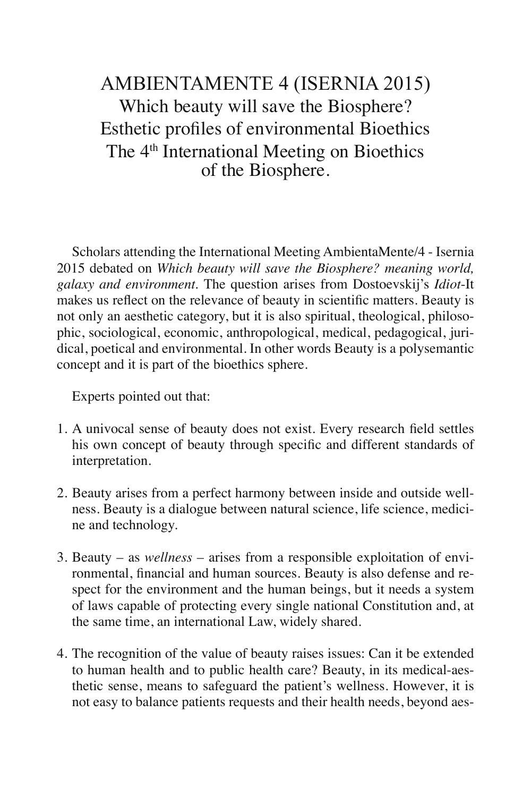## AMBIENTAMENTE 4 (ISERNIA 2015) Which beauty will save the Biosphere? Esthetic profiles of environmental Bioethics The 4<sup>th</sup> International Meeting on Bioethics of the Biosphere.

Scholars attending the International Meeting AmbientaMente/4 - Isernia 2015 debated on *Which beauty will save the Biosphere? meaning world, galaxy and environment.* The question arises from Dostoevskij's *Idiot*-It makes us reflect on the relevance of beauty in scientific matters. Beauty is not only an aesthetic category, but it is also spiritual, theological, philosophic, sociological, economic, anthropological, medical, pedagogical, juridical, poetical and environmental. In other words Beauty is a polysemantic concept and it is part of the bioethics sphere.

Experts pointed out that:

- 1. A univocal sense of beauty does not exist. Every research field settles his own concept of beauty through specific and different standards of interpretation.
- 2. Beauty arises from a perfect harmony between inside and outside wellness. Beauty is a dialogue between natural science, life science, medicine and technology.
- 3. Beauty as *wellness*  arises from a responsible exploitation of environmental, financial and human sources. Beauty is also defense and respect for the environment and the human beings, but it needs a system of laws capable of protecting every single national Constitution and, at the same time, an international Law, widely shared.
- 4. The recognition of the value of beauty raises issues: Can it be extended to human health and to public health care? Beauty, in its medical-aesthetic sense, means to safeguard the patient's wellness. However, it is not easy to balance patients requests and their health needs, beyond aes-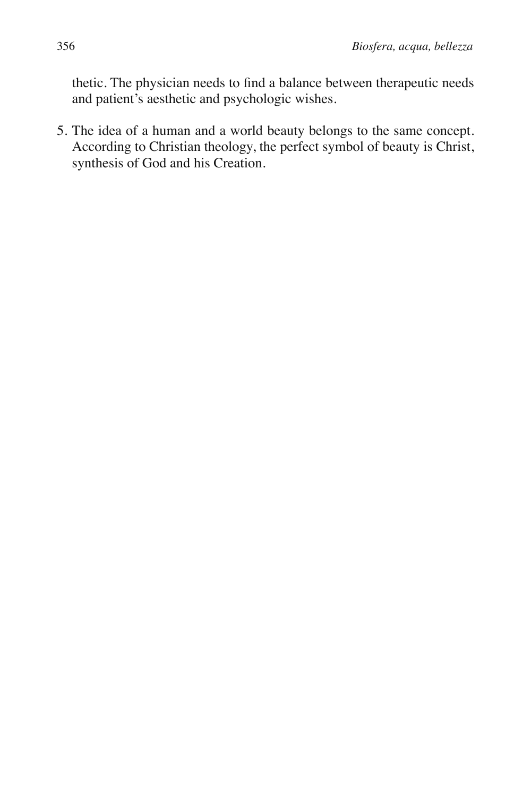thetic. The physician needs to find a balance between therapeutic needs and patient's aesthetic and psychologic wishes.

5. The idea of a human and a world beauty belongs to the same concept. According to Christian theology, the perfect symbol of beauty is Christ, synthesis of God and his Creation.